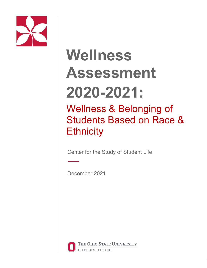

# **Wellness Assessment 2020-2021:**

# Wellness & Belonging of Students Based on Race & **Ethnicity**

Center for the Study of Student Life

December 2021



THE OHIO STATE UNIVERSITY OFFICE OF STUDENT LIFE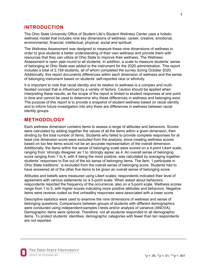# **INTRODUCTION**

The Ohio State University Office of Student Life's Student Wellness Center uses a holistic wellness model that includes nine key dimensions of wellness: career, creative, emotional, environmental, financial, intellectual, physical, social and spiritual.

The Wellness Assessment was designed to measure these nine dimensions of wellness in order to give students a better understanding of their own wellness and provide them with resources that they can utilize at Ohio State to improve their wellness. The Wellness Assessment is open year-round to all students. In addition, a scale to measure students' sense of belonging at Ohio State was added to the instrument for the 2020 administration. This report includes a total of 2,159 students, all of whom completed the survey during October 2020. Additionally, this report documents differences within each dimension of wellness and the sense of belonging instrument based on students' self-reported race or ethnicity.

It is important to note that racial identity and its relation to wellness is a complex and multifaceted concept that is influenced by a variety of factors. Caution should be applied when interpreting these results, as the scope of the report is limited to student responses at one point in time and cannot be used to determine why these differences in wellness and belonging exist. The purpose of this report is to provide a snapshot of student wellness based on racial identity and to inform future investigation into why there are differences in wellness between racial identity groups.

## **METHODOLOGY**

Each wellness dimension contains items to assess a range of attitudes and behaviors. Scores were calculated by adding together the values of all the items within a given dimension, then dividing by the total number of items. Students who failed to provide complete responses for at least one dimension score were excluded from the analysis, since creating wellness scores based on too few items would not be an accurate representation of the overall dimension. Additionally, the items within the sense of belonging scale were scored on a 4-point Likert scale, ranging from 'strongly disagree' as 1 to 'strongly agree' as 4. An overall sense of belonging score ranging from 1 to 4, with 4 being the most positive, was calculated by averaging together students' responses to five out of the six sense of belonging items. The item, 'I participate in Ohio State traditions', is excluded from the overall sense of belonging score. Students had to have answered all of the other five items to be given an overall sense of belonging score.

Attitudes and beliefs were measured using Likert scales; respondents indicated their level of agreement with various statements on a 5-point scale. When asked about behaviors, respondents reported the frequency of the occurrence, also on a 5-point scale. Wellness scores range from 1 to 5, with higher scores indicating more positive attitudes and behaviors. Negative items were reverse coded so that unhealthy responses were associated with a lower score.

Descriptive statistics were used to examine the nine dimensions of wellness and sense of belonging questions. Comparisons between groups of students with different demographics were conducted using independent-samples t-tests and/or analysis of variance (ANOVA). Demographic items were optional. Therefore, not all students responded to all demographic items. To protect students' identities, demographic categories with fewer than ten respondents are not reported.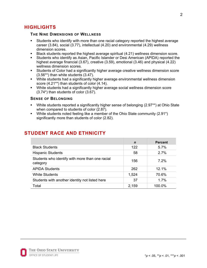# **HIGHLIGHTS**

#### **THE NINE DIMENSIONS OF WELLNESS**

- Students who identify with more than one racial category reported the highest average career (3.84), social (3.77), intellectual (4.20) and environmental (4.29) wellness dimension scores.
- Black students reported the highest average spiritual (4.21) wellness dimension score.
- Students who identify as Asian, Pacific Islander or Desi American (APIDA) reported the highest average financial (3.67), creative (3.59), emotional (3.46) and physical (4.22) wellness dimension scores.
- Students of Color had a significantly higher average creative wellness dimension score (3.56\*\*) than white students (3.47).
- White students had a significantly higher average environmental wellness dimension score (4.21\*\*) than students of color (4.14).
- White students had a significantly higher average social wellness dimension score (3.74\*) than students of color (3.67).

#### **SENSE OF BELONGING**

- White students reported a significantly higher sense of belonging (2.97\*\*) at Ohio State when compared to students of color (2.87).
- White students noted feeling like a member of the Ohio State community (2.91<sup>\*</sup>) significantly more than students of color (2.82).

|                                                             | $\mathbf n$ | <b>Percent</b> |
|-------------------------------------------------------------|-------------|----------------|
| <b>Black Students</b>                                       | 122         | $5.7\%$        |
| <b>Hispanic Students</b>                                    | 58          | 2.7%           |
| Students who identify with more than one racial<br>category | 156         | 7.2%           |
| <b>APIDA Students</b>                                       | 262         | 12.1%          |
| <b>White Students</b>                                       | 1,524       | 70.6%          |
| Students with another identity not listed here              | 37          | 1.7%           |
| Total                                                       | 2,159       | 100.0%         |

# **STUDENT RACE AND ETHNICITY**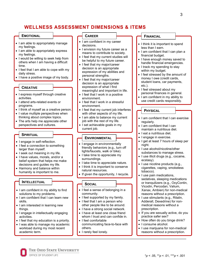# **WELLNESS ASSESSMENT DIMENSIONS & ITEMS**

#### **EMOTIONAL**

- I am able to appropriately manage my feelings.
- I am able to appropriately express my feelings.
- I would be willing to seek help from others when I am having a difficult time.
- I feel that I am able to cope with my daily stress.
- I have a positive image of my body.

#### **CREATIVE**

- I express myself through creative activities.
- I attend arts-related events or programs.
- I think of myself as a creative person.
- I value multiple perspectives when thinking about complex topics.
- The arts help me appreciate other perspectives and cultures.

#### **SPIRITUAL**

- I engage in self-reflection.
- I feel a connection to something larger than myself.
- I seek out meaning in my life.
- I have values, morals, and/or a belief system that helps me make decisions and guides my life.
- Harmony and balance within humanity is important to me.

#### **INTELLECTUAL**

- I am confident in my ability to find solutions to my problems.
- I am confident that I can learn new skills.
- I am interested in learning new things.
- I engage in intellectually engaging activities.
- I feel that my education is a priority.
- I was able to manage my academic workload during my most recent academic term.

#### **CAREER**

- I am confident in my career decisions.
- I envision my future career as a means to contribute to society.
- I feel that my current studies will be helpful to my future career.
- I feel that my major/career decision is an appropriate expression of my abilities and personal strengths.
- I feel that my major/career decision is an appropriate expression of what I find meaningful and important in life.
- I feel that I work in a positive environment.
- I feel that I work in a stressful environment.
- I feel that my current job interferes with other aspects of my life.
- I am able to balance my current job with the rest of my life.
- I set achievable goals in my current job.

#### **ENVIRONMENTAL**

- I engage in environmentally friendly behaviors (e.g., turn off lights/faucets, walk or bike).
- I take time to appreciate my surroundings.
- I take time to appreciate nature.
- I think it is important to conserve natural resources.
- If given the opportunity, I recycle.

#### **SOCIAL**

- I feel a sense of belonging in a community.
- I feel supported by my family.
- I feel that I am a person who other people like to be around.
- I have a strong social network.
- I have at least one close friend whom I trust and can confide in.
- I feel comfortable communicating face-to-face with others.
- I rarely feel lonely.

#### **FINANCIAL**

- I think it is important to spend less than I earn.
- I am confident that I can plan a financial budget.
- I have enough money saved to handle financial emergencies.
- I track my spending to stay within my budget.
- I feel stressed by the amount of money I owe (credit cards, student loans, car payments, etc.).
- I feel stressed about my personal finances in general.
- I am confident in my ability to use credit cards responsibly.

#### **PHYSICAL**

- I am confident that I can exercise regularly.
- I am confident that I can maintain a nutritious diet.
- I eat a nutritious diet.
- I engage in exercise.
- I get at least 7 hours of sleep per night.
- I use alcohol/nicotine/other substances to manage stress.
- I use illicit drugs (e.g., cocaine, ecstasy).
- I use nicotine products (e.g., cigarettes, vaping, smokeless tobacco).
- I use pain medications, sedatives, sleeping medications or tranquilizers (e.g., OxyContin, Vicodin, Percodan; Valium, Xanax, Ambien) for non-medical reasons without a prescription.
- I use stimulants (e.g., Ritalin, Adderall, Dexedrine) for nonmedical reasons without a prescription.
- If you are sexually active, do you practice safer sex?
- How often do you binge drink?
- I consume alcohol.
- I use marijuana for non-medical reasons without a prescription.

The Ohio State University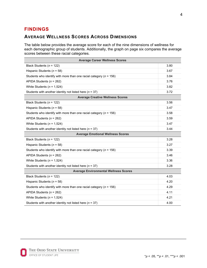# **FINDINGS**

# **AVERAGE WELLNESS SCORES ACROSS DIMENSIONS**

The table below provides the average score for each of the nine dimensions of wellness for each demographic group of students. Additionally, the graph on page six compares the average scores between these racial categories.

| <b>Average Career Wellness Scores</b>                                  |      |  |  |  |  |  |  |
|------------------------------------------------------------------------|------|--|--|--|--|--|--|
| Black Students ( $n = 122$ )                                           |      |  |  |  |  |  |  |
| Hispanic Students ( $n = 58$ )                                         |      |  |  |  |  |  |  |
| Students who identify with more than one racial category ( $n = 156$ ) |      |  |  |  |  |  |  |
| APIDA Students ( $n = 262$ )                                           |      |  |  |  |  |  |  |
| White Students ( $n = 1,524$ )                                         |      |  |  |  |  |  |  |
| Students with another identity not listed here ( $n = 37$ )            |      |  |  |  |  |  |  |
| <b>Average Creative Wellness Scores</b>                                |      |  |  |  |  |  |  |
| Black Students ( $n = 122$ )                                           | 3.56 |  |  |  |  |  |  |
| Hispanic Students ( $n = 58$ )                                         | 3.47 |  |  |  |  |  |  |
| Students who identify with more than one racial category ( $n = 156$ ) |      |  |  |  |  |  |  |
| APIDA Students ( $n = 262$ )                                           |      |  |  |  |  |  |  |
| White Students ( $n = 1,524$ )                                         |      |  |  |  |  |  |  |
| Students with another identity not listed here ( $n = 37$ )            | 3.44 |  |  |  |  |  |  |
| <b>Average Emotional Wellness Scores</b>                               |      |  |  |  |  |  |  |
| Black Students ( $n = 122$ )                                           | 3.28 |  |  |  |  |  |  |
| Hispanic Students ( $n = 58$ )                                         |      |  |  |  |  |  |  |
| Students who identify with more than one racial category ( $n = 156$ ) |      |  |  |  |  |  |  |
| APIDA Students ( $n = 262$ )                                           |      |  |  |  |  |  |  |
| White Students ( $n = 1,524$ )                                         |      |  |  |  |  |  |  |
| Students with another identity not listed here ( $n = 37$ )            |      |  |  |  |  |  |  |
| <b>Average Environmental Wellness Scores</b>                           |      |  |  |  |  |  |  |
| Black Students ( $n = 122$ )                                           | 4.03 |  |  |  |  |  |  |
| Hispanic Students ( $n = 58$ )                                         | 4.20 |  |  |  |  |  |  |
| Students who identify with more than one racial category ( $n = 156$ ) |      |  |  |  |  |  |  |
| APIDA Students ( $n = 262$ )                                           |      |  |  |  |  |  |  |
| White Students ( $n = 1,524$ )                                         |      |  |  |  |  |  |  |
| Students with another identity not listed here ( $n = 37$ )            |      |  |  |  |  |  |  |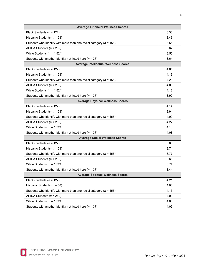| <b>Average Financial Wellness Scores</b>                               |      |  |  |  |  |  |  |
|------------------------------------------------------------------------|------|--|--|--|--|--|--|
| Black Students ( $n = 122$ )                                           |      |  |  |  |  |  |  |
| Hispanic Students ( $n = 58$ )                                         |      |  |  |  |  |  |  |
| Students who identify with more than one racial category ( $n = 156$ ) |      |  |  |  |  |  |  |
| APIDA Students ( $n = 262$ )                                           |      |  |  |  |  |  |  |
| White Students ( $n = 1,524$ )                                         |      |  |  |  |  |  |  |
| Students with another identity not listed here ( $n = 37$ )            |      |  |  |  |  |  |  |
| <b>Average Intellectual Wellness Scores</b>                            |      |  |  |  |  |  |  |
| Black Students ( $n = 122$ )                                           | 4.05 |  |  |  |  |  |  |
| Hispanic Students ( $n = 58$ )                                         | 4.13 |  |  |  |  |  |  |
| Students who identify with more than one racial category ( $n = 156$ ) | 4.20 |  |  |  |  |  |  |
| APIDA Students ( $n = 262$ )                                           | 4.06 |  |  |  |  |  |  |
| White Students ( $n = 1,524$ )                                         | 4.12 |  |  |  |  |  |  |
| Students with another identity not listed here ( $n = 37$ )            | 3.99 |  |  |  |  |  |  |
| <b>Average Physical Wellness Scores</b>                                |      |  |  |  |  |  |  |
| Black Students ( $n = 122$ )                                           | 4.14 |  |  |  |  |  |  |
| Hispanic Students ( $n = 58$ )                                         | 3.94 |  |  |  |  |  |  |
| Students who identify with more than one racial category ( $n = 156$ ) | 4.09 |  |  |  |  |  |  |
| APIDA Students ( $n = 262$ )                                           | 4.22 |  |  |  |  |  |  |
| White Students ( $n = 1,524$ )                                         | 4.13 |  |  |  |  |  |  |
| Students with another identity not listed here ( $n = 37$ )            | 4.08 |  |  |  |  |  |  |
| <b>Average Social Wellness Scores</b>                                  |      |  |  |  |  |  |  |
| Black Students ( $n = 122$ )                                           | 3.60 |  |  |  |  |  |  |
| Hispanic Students ( $n = 58$ )                                         | 3.74 |  |  |  |  |  |  |
| Students who identify with more than one racial category ( $n = 156$ ) | 3.77 |  |  |  |  |  |  |
| APIDA Students ( $n = 262$ )                                           | 3.65 |  |  |  |  |  |  |
| White Students ( $n = 1,524$ )                                         | 3.74 |  |  |  |  |  |  |
| Students with another identity not listed here ( $n = 37$ )            | 3.44 |  |  |  |  |  |  |
| <b>Average Spiritual Wellness Scores</b>                               |      |  |  |  |  |  |  |
| Black Students ( $n = 122$ )                                           | 4.21 |  |  |  |  |  |  |
| Hispanic Students ( $n = 58$ )                                         | 4.03 |  |  |  |  |  |  |
| Students who identify with more than one racial category ( $n = 156$ ) | 4.13 |  |  |  |  |  |  |
| APIDA Students ( $n = 262$ )                                           | 4.03 |  |  |  |  |  |  |
| White Students ( $n = 1,524$ )                                         |      |  |  |  |  |  |  |
| Students with another identity not listed here ( $n = 37$ )            |      |  |  |  |  |  |  |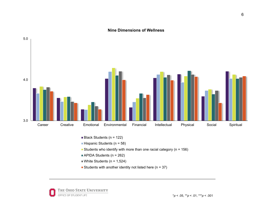#### **Nine Dimensions of Wellness**



- $\blacksquare$  Black Students (n = 122)
- Hispanic Students ( $n = 58$ )
- Students who identify with more than one racial category ( $n = 156$ )
- $\blacksquare$  APIDA Students (n = 262)
- White Students ( $n = 1,524$ )
- Students with another identity not listed here ( $n = 37$ )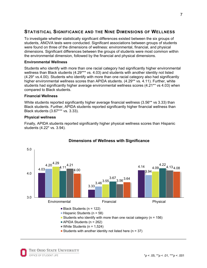# **STATISTICAL SIGNIFICANCE AND THE NINE DIMENSIONS OF WELLNESS**

To investigate whether statistically significant differences existed between the six groups of students, ANOVA tests were conducted. Significant associations between groups of students were found on three of the dimensions of wellness: environmental, financial, and physical dimensions. Significant differences between the groups of students were most common within the environmental dimension, followed by the financial and physical dimensions.

#### **Environmental Wellness**

Students who identify with more than one racial category had significantly higher environmental wellness than Black students (4.29\*\*\* vs. 4.03) and students with another identity not listed (4.29\* vs.4.00). Students who identify with more than one racial category also had significantly higher environmental wellness scores than APIDA students. (4.29\*\* vs. 4.11). Further, white students had significantly higher average environmental wellness scores (4.21\*\* vs 4.03) when compared to Black students.

#### **Financial Wellness**

White students reported significantly higher average financial wellness (3.56<sup>\*\*</sup> vs 3.33) than Black students. Further, APIDA students reported significantly higher financial wellness than Black students (3.67\*\*\* vs. 3.33).

#### **Physical wellness**

Finally, APIDA students reported significantly higher physical wellness scores than Hispanic students (4.22\* vs. 3.94).



#### **Dimensions of Wellness with Significance**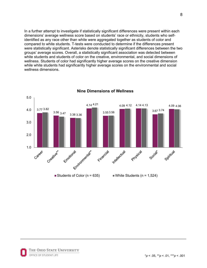In a further attempt to investigate if statistically significant differences were present within each dimensions' average wellness score based on students' race or ethnicity, students who selfidentified as any race other than white were aggregated together as students of color and compared to white students. T-tests were conducted to determine if the differences present were statistically significant. Asterisks denote statistically significant differences between the two groups' average scores. Overall, a statistically significant association was detected between white students and students of color on the creative, environmental, and social dimensions of wellness. Students of color had significantly higher average scores on the creative dimension while white students had significantly higher average scores on the environmental and social wellness dimensions.



**Nine Dimensions of Wellness**

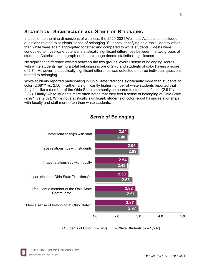# **STATISTICAL SIGNIFICANCE AND SENSE OF BELONGING**

In addition to the nine dimensions of wellness, the 2020-2021 Wellness Assessment included questions related to students' sense of belonging. Students identifying as a racial identity other than white were again aggregated together and compared to white students. T-tests were conducted to investigate potential statistically significant differences between the two groups of students. Asterisks in the graph on the next page denote statistical significance.

No significant difference existed between the two groups' overall sense of belonging scores, with white students having a total belonging score of 2.76 and students of color having a score of 2.74. However, a statistically significant difference was detected on three individual questions related to belonging.

White students reported participating in Ohio State traditions significantly more than students of color (2.68\*\*\* vs. 2.50). Further, a significantly higher number of white students reported that they feel like a member of the Ohio State community compared to students of color (2.91\* vs. 2.82). Finally, white students more often noted that they feel a sense of belonging at Ohio State (2.97\*\* vs. 2.87). While not statistically significant, students of color report having relationships with faculty and staff more often than white students.



# **Sense of Belonging**

THE OHIO STATE UNIVERSITY OFFICE OF STUDENT LIFE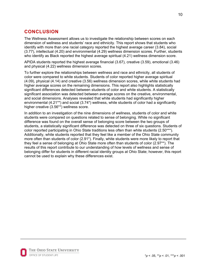# **CONCLUSION**

The Wellness Assessment allows us to investigate the relationship between scores on each dimension of wellness and students' race and ethnicity. This report shows that students who identify with more than one racial category reported the highest average career (3.84), social (3.77), intellectual (4.20) and environmental (4.29) wellness dimension scores. Further, students who identify as Black reported the highest average spiritual (4.21) wellness dimension score.

APIDA students reported the highest average financial (3.67), creative (3.59), emotional (3.46) and physical (4.22) wellness dimension scores.

To further explore the relationships between wellness and race and ethnicity, all students of color were compared to white students. Students of color reported higher average spiritual (4.09), physical (4.14) and creative (3.56) wellness dimension scores, while white students had higher average scores on the remaining dimensions. This report also highlights statistically significant differences detected between students of color and white students. A statistically significant association was detected between average scores on the creative, environmental, and social dimensions. Analyses revealed that white students had significantly higher environmental (4.21\*\*) and social (3.74\*) wellness, while students of color had a significantly higher creative (3.56\*\*) wellness score.

In addition to an investigation of the nine dimensions of wellness, students of color and white students were compared on questions related to sense of belonging. While no significant difference was found on the overall sense of belonging score between the two groups of students, a statistically significant difference was detected on three of six questions. Students of color reported participating in Ohio State traditions less often than white students (2.50\*\*\*). Additionally, white students reported that they feel like a member of the Ohio State community more often than students of color (2.91\*). Finally, white students were more likely to report that they feel a sense of belonging at Ohio State more often than students of color (2.97\*\*). The results of this report contribute to our understanding of how levels of wellness and sense of belonging differ for students in different racial identity groups at Ohio State; however, this report cannot be used to explain why these differences exist.